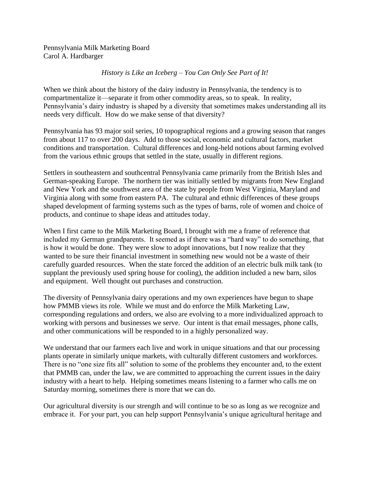Pennsylvania Milk Marketing Board Carol A. Hardbarger

## *History is Like an Iceberg – You Can Only See Part of It!*

When we think about the history of the dairy industry in Pennsylvania, the tendency is to compartmentalize it—separate it from other commodity areas, so to speak. In reality, Pennsylvania's dairy industry is shaped by a diversity that sometimes makes understanding all its needs very difficult. How do we make sense of that diversity?

Pennsylvania has 93 major soil series, 10 topographical regions and a growing season that ranges from about 117 to over 200 days. Add to those social, economic and cultural factors, market conditions and transportation. Cultural differences and long-held notions about farming evolved from the various ethnic groups that settled in the state, usually in different regions.

Settlers in southeastern and southcentral Pennsylvania came primarily from the British Isles and German-speaking Europe. The northern tier was initially settled by migrants from New England and New York and the southwest area of the state by people from West Virginia, Maryland and Virginia along with some from eastern PA. The cultural and ethnic differences of these groups shaped development of farming systems such as the types of barns, role of women and choice of products, and continue to shape ideas and attitudes today.

When I first came to the Milk Marketing Board, I brought with me a frame of reference that included my German grandparents. It seemed as if there was a "hard way" to do something, that is how it would be done. They were slow to adopt innovations, but I now realize that they wanted to be sure their financial investment in something new would not be a waste of their carefully guarded resources. When the state forced the addition of an electric bulk milk tank (to supplant the previously used spring house for cooling), the addition included a new barn, silos and equipment. Well thought out purchases and construction.

The diversity of Pennsylvania dairy operations and my own experiences have begun to shape how PMMB views its role. While we must and do enforce the Milk Marketing Law, corresponding regulations and orders, we also are evolving to a more individualized approach to working with persons and businesses we serve. Our intent is that email messages, phone calls, and other communications will be responded to in a highly personalized way.

We understand that our farmers each live and work in unique situations and that our processing plants operate in similarly unique markets, with culturally different customers and workforces. There is no "one size fits all" solution to some of the problems they encounter and, to the extent that PMMB can, under the law, we are committed to approaching the current issues in the dairy industry with a heart to help. Helping sometimes means listening to a farmer who calls me on Saturday morning, sometimes there is more that we can do.

Our agricultural diversity is our strength and will continue to be so as long as we recognize and embrace it. For your part, you can help support Pennsylvania's unique agricultural heritage and